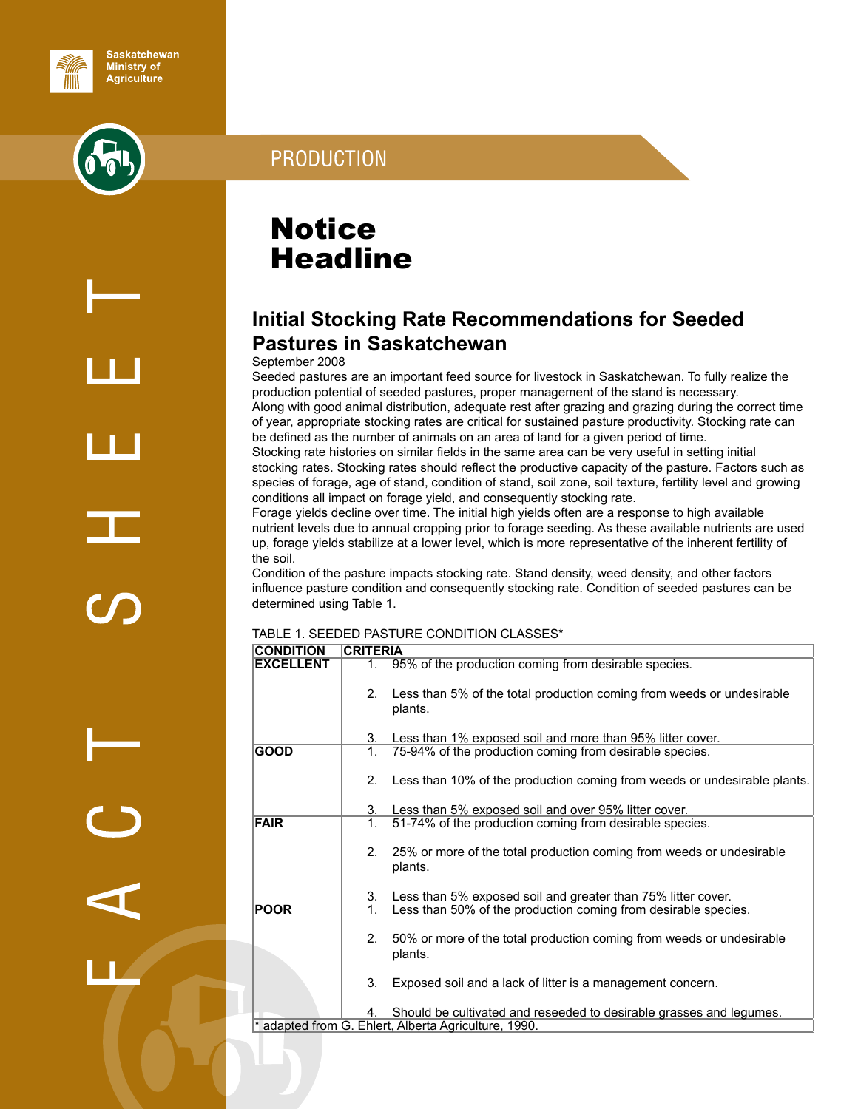

# **PRODUCTION**

**Notice Headline** 

## **Initial Stocking Rate Recommendations for Seeded Pastures in Saskatchewan**

## September 2008

Seeded pastures are an important feed source for livestock in Saskatchewan. To fully realize the production potential of seeded pastures, proper management of the stand is necessary. Along with good animal distribution, adequate rest after grazing and grazing during the correct time of year, appropriate stocking rates are critical for sustained pasture productivity. Stocking rate can be defined as the number of animals on an area of land for a given period of time.

Stocking rate histories on similar fields in the same area can be very useful in setting initial stocking rates. Stocking rates should reflect the productive capacity of the pasture. Factors such as species of forage, age of stand, condition of stand, soil zone, soil texture, fertility level and growing conditions all impact on forage yield, and consequently stocking rate.

Forage yields decline over time. The initial high yields often are a response to high available nutrient levels due to annual cropping prior to forage seeding. As these available nutrients are used up, forage yields stabilize at a lower level, which is more representative of the inherent fertility of the soil.

Condition of the pasture impacts stocking rate. Stand density, weed density, and other factors influence pasture condition and consequently stocking rate. Condition of seeded pastures can be determined using Table 1.

#### TABLE 1. SEEDED PASTURE CONDITION CLASSES\*

| <b>CONDITION</b> | <b>CRITERIA</b> |                                                                                  |
|------------------|-----------------|----------------------------------------------------------------------------------|
| <b>EXCELLENT</b> | 1.              | 95% of the production coming from desirable species.                             |
|                  | 2.              | Less than 5% of the total production coming from weeds or undesirable<br>plants. |
|                  | 3.              | Less than 1% exposed soil and more than 95% litter cover.                        |
| <b>GOOD</b>      | 1.              | 75-94% of the production coming from desirable species.                          |
|                  | 2.              | Less than 10% of the production coming from weeds or undesirable plants.         |
|                  | 3.              | Less than 5% exposed soil and over 95% litter cover.                             |
| <b>FAIR</b>      | 1.              | 51-74% of the production coming from desirable species.                          |
|                  | 2.              | 25% or more of the total production coming from weeds or undesirable<br>plants.  |
|                  | 3.              | Less than 5% exposed soil and greater than 75% litter cover.                     |
| <b>POOR</b>      | 1.              | Less than 50% of the production coming from desirable species.                   |
|                  | 2.              | 50% or more of the total production coming from weeds or undesirable<br>plants.  |
|                  | 3.              | Exposed soil and a lack of litter is a management concern.                       |
|                  | 4.              | Should be cultivated and reseeded to desirable grasses and legumes.              |
|                  |                 | * adapted from G. Ehlert, Alberta Agriculture, 1990.                             |

alian di Santan.<br>Ngjarje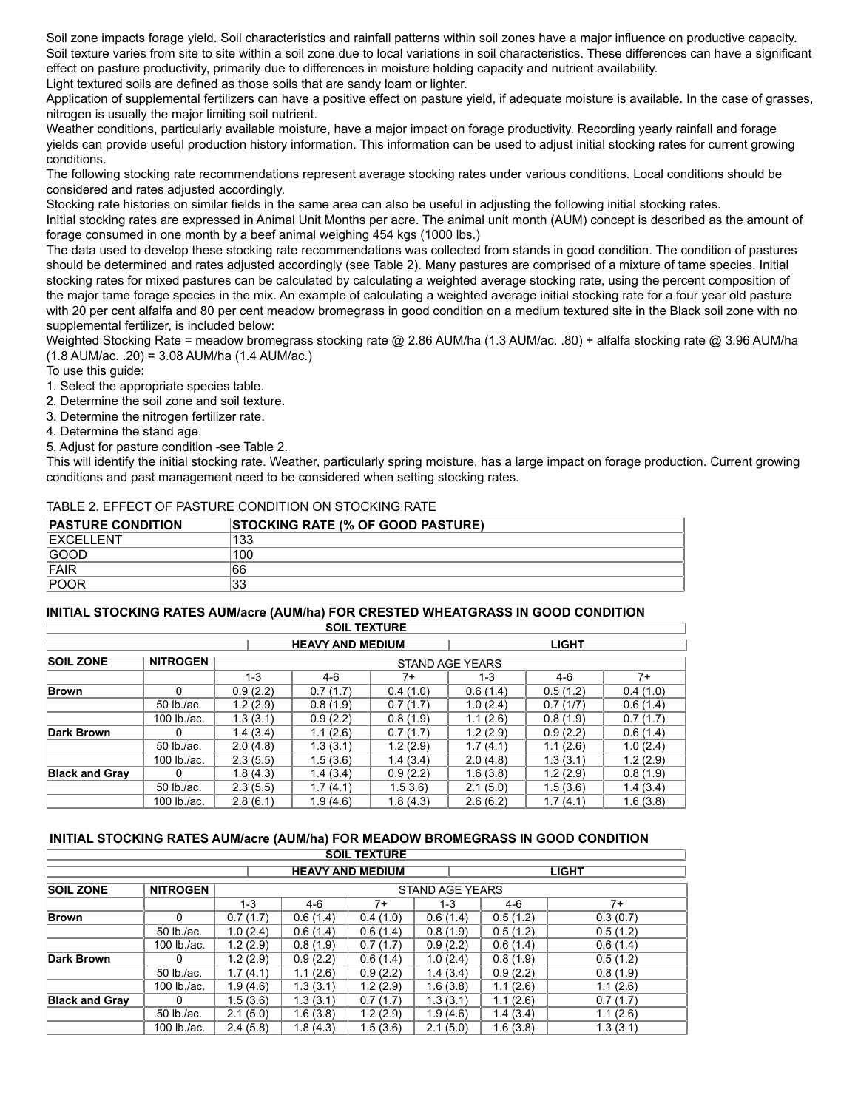Soil zone impacts forage yield. Soil characteristics and rainfall patterns within soil zones have a major influence on productive capacity. Soil texture varies from site to site within a soil zone due to local variations in soil characteristics. These differences can have a significant effect on pasture productivity, primarily due to differences in moisture holding capacity and nutrient availability. Light textured soils are defined as those soils that are sandy loam or lighter.

Application of supplemental fertilizers can have a positive effect on pasture yield, if adequate moisture is available. In the case of grasses, nitrogen is usually the major limiting soil nutrient.

Weather conditions, particularly available moisture, have a major impact on forage productivity. Recording yearly rainfall and forage yields can provide useful production history information. This information can be used to adjust initial stocking rates for current growing conditions.

The following stocking rate recommendations represent average stocking rates under various conditions. Local conditions should be considered and rates adjusted accordingly.

Stocking rate histories on similar fields in the same area can also be useful in adjusting the following initial stocking rates.

Initial stocking rates are expressed in Animal Unit Months per acre. The animal unit month (AUM) concept is described as the amount of forage consumed in one month by a beef animal weighing 454 kgs (1000 lbs.)

The data used to develop these stocking rate recommendations was collected from stands in good condition. The condition of pastures should be determined and rates adjusted accordingly (see Table 2). Many pastures are comprised of a mixture of tame species. Initial stocking rates for mixed pastures can be calculated by calculating a weighted average stocking rate, using the percent composition of the major tame forage species in the mix. An example of calculating a weighted average initial stocking rate for a four year old pasture with 20 per cent alfalfa and 80 per cent meadow bromegrass in good condition on a medium textured site in the Black soil zone with no supplemental fertilizer, is included below:

Weighted Stocking Rate = meadow bromegrass stocking rate @ 2.86 AUM/ha (1.3 AUM/ac. .80) + alfalfa stocking rate @ 3.96 AUM/ha (1.8 AUM/ac. .20) = 3.08 AUM/ha (1.4 AUM/ac.)

To use this guide:

- 1. Select the appropriate species table.
- 2. Determine the soil zone and soil texture.
- 3. Determine the nitrogen fertilizer rate.
- 4. Determine the stand age.
- 5. Adjust for pasture condition -see Table 2.

This will identify the initial stocking rate. Weather, particularly spring moisture, has a large impact on forage production. Current growing conditions and past management need to be considered when setting stocking rates.

#### TABLE 2. EFFECT OF PASTURE CONDITION ON STOCKING RATE

| <b>PASTURE CONDITION</b> | <b>STOCKING RATE (% OF GOOD PASTURE)</b> |
|--------------------------|------------------------------------------|
| <b>EXCELLENT</b>         | 133                                      |
| GOOD                     | 100                                      |
| <b>IFAIR</b>             | 66                                       |
| <b>POOR</b>              | 33                                       |

#### **INITIAL STOCKING RATES AUM/acre (AUM/ha) FOR CRESTED WHEATGRASS IN GOOD CONDITION**

|                                         |                 |          | <b>SOIL TEXTURE</b> |          |                 |          |          |  |  |
|-----------------------------------------|-----------------|----------|---------------------|----------|-----------------|----------|----------|--|--|
| <b>HEAVY AND MEDIUM</b><br><b>LIGHT</b> |                 |          |                     |          |                 |          |          |  |  |
| <b>SOIL ZONE</b>                        | <b>NITROGEN</b> |          |                     |          | STAND AGE YEARS |          |          |  |  |
|                                         |                 | $1 - 3$  | $4-6$               | 7+       | $1 - 3$         | 4-6      | $7+$     |  |  |
| Brown                                   | U               | 0.9(2.2) | 0.7(1.7)            | 0.4(1.0) | 0.6(1.4)        | 0.5(1.2) | 0.4(1.0) |  |  |
|                                         | 50 lb./ac.      | 1.2(2.9) | 0.8(1.9)            | 0.7(1.7) | 1.0(2.4)        | 0.7(1/7) | 0.6(1.4) |  |  |
|                                         | 100 lb./ac.     | 1.3(3.1) | 0.9(2.2)            | 0.8(1.9) | 1.1(2.6)        | 0.8(1.9) | 0.7(1.7) |  |  |
| Dark Brown                              | 0               | 1.4(3.4) | 1.1(2.6)            | 0.7(1.7) | 1.2(2.9)        | 0.9(2.2) | 0.6(1.4) |  |  |
|                                         | 50 lb./ac.      | 2.0(4.8) | 1.3(3.1)            | 1.2(2.9) | 1.7(4.1)        | 1.1(2.6) | 1.0(2.4) |  |  |
|                                         | 100 lb./ac.     | 2.3(5.5) | 1.5(3.6)            | 1.4(3.4) | 2.0(4.8)        | 1.3(3.1) | 1.2(2.9) |  |  |
| <b>Black and Gray</b>                   |                 | 1.8(4.3) | 1.4(3.4)            | 0.9(2.2) | 1.6(3.8)        | 1.2(2.9) | 0.8(1.9) |  |  |
|                                         | 50 lb./ac.      | 2.3(5.5) | 1.7(4.1)            | 1.53.6   | 2.1(5.0)        | 1.5(3.6) | 1.4(3.4) |  |  |
|                                         | 100 lb./ac.     | 2.8(6.1) | 1.9(4.6)            | 1.8(4.3) | 2.6(6.2)        | 1.7(4.1) | 1.6(3.8) |  |  |

#### **INITIAL STOCKING RATES AUM/acre (AUM/ha) FOR MEADOW BROMEGRASS IN GOOD CONDITION**

|                       |                 |          |          | <b>SOIL TEXTURE</b>     |                 |          |              |
|-----------------------|-----------------|----------|----------|-------------------------|-----------------|----------|--------------|
|                       |                 |          |          | <b>HEAVY AND MEDIUM</b> |                 |          | <b>LIGHT</b> |
| <b>SOIL ZONE</b>      | <b>NITROGEN</b> |          |          |                         | STAND AGE YEARS |          |              |
|                       |                 | 1-3      | $4-6$    | $7+$                    | $1 - 3$         | 4-6      | $7+$         |
| Brown                 | 0               | 0.7(1.7) | 0.6(1.4) | 0.4(1.0)                | 0.6(1.4)        | 0.5(1.2) | 0.3(0.7)     |
|                       | 50 lb./ac.      | 1.0(2.4) | 0.6(1.4) | 0.6(1.4)                | 0.8(1.9)        | 0.5(1.2) | 0.5(1.2)     |
|                       | 100 lb./ac.     | 1.2(2.9) | 0.8(1.9) | 0.7(1.7)                | 0.9(2.2)        | 0.6(1.4) | 0.6(1.4)     |
| Dark Brown            |                 | 1.2(2.9) | 0.9(2.2) | 0.6(1.4)                | 1.0(2.4)        | 0.8(1.9) | 0.5(1.2)     |
|                       | 50 lb./ac.      | 1.7(4.1) | 1.1(2.6) | 0.9(2.2)                | 1.4(3.4)        | 0.9(2.2) | 0.8(1.9)     |
|                       | 100 lb./ac.     | 1.9(4.6) | 1.3(3.1) | 1.2(2.9)                | 1.6(3.8)        | 1.1(2.6) | 1.1(2.6)     |
| <b>Black and Gray</b> |                 | 1.5(3.6) | 1.3(3.1) | 0.7(1.7)                | 1.3(3.1)        | 1.1(2.6) | 0.7(1.7)     |
|                       | 50 lb./ac.      | 2.1(5.0) | 1.6(3.8) | 1.2(2.9)                | 1.9(4.6)        | 1.4(3.4) | 1.1(2.6)     |
|                       | 100 lb./ac.     | 2.4(5.8) | 1.8(4.3) | 1.5(3.6)                | 2.1(5.0)        | 1.6(3.8) | 1.3(3.1)     |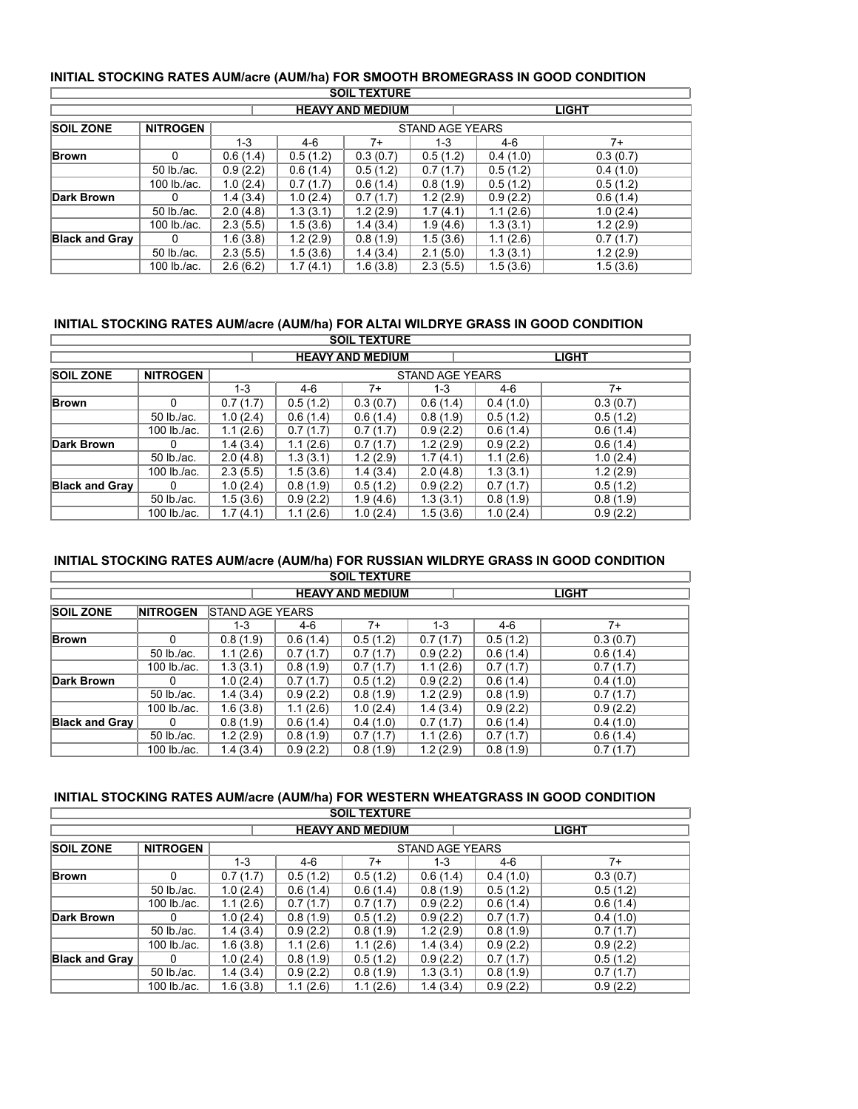| INITIAL STOCKING RATES AUM/acre (AUM/ha) FOR SMOOTH BROMEGRASS IN GOOD CONDITION |
|----------------------------------------------------------------------------------|
| COU TEVTUDE                                                                      |

|                       |                                         |          |          | <b>SOIL TEXTURE</b> |                        |          |          |  |  |
|-----------------------|-----------------------------------------|----------|----------|---------------------|------------------------|----------|----------|--|--|
|                       | <b>HEAVY AND MEDIUM</b><br><b>LIGHT</b> |          |          |                     |                        |          |          |  |  |
| <b>SOIL ZONE</b>      | <b>NITROGEN</b>                         |          |          |                     | <b>STAND AGE YEARS</b> |          |          |  |  |
|                       |                                         | $1 - 3$  | 4-6      | $7+$                | $1 - 3$                | $4-6$    | $7+$     |  |  |
| <b>Brown</b>          | 0                                       | 0.6(1.4) | 0.5(1.2) | 0.3(0.7)            | 0.5(1.2)               | 0.4(1.0) | 0.3(0.7) |  |  |
|                       | 50 lb./ac.                              | 0.9(2.2) | 0.6(1.4) | 0.5(1.2)            | 0.7(1.7)               | 0.5(1.2) | 0.4(1.0) |  |  |
|                       | 100 lb./ac.                             | 1.0(2.4) | 0.7(1.7) | 0.6(1.4)            | 0.8(1.9)               | 0.5(1.2) | 0.5(1.2) |  |  |
| Dark Brown            | 0                                       | 1.4(3.4) | 1.0(2.4) | 0.7(1.7)            | 1.2(2.9)               | 0.9(2.2) | 0.6(1.4) |  |  |
|                       | 50 lb./ac.                              | 2.0(4.8) | 1.3(3.1) | 1.2(2.9)            | 1.7(4.1)               | 1.1(2.6) | 1.0(2.4) |  |  |
|                       | 100 lb./ac.                             | 2.3(5.5) | 1.5(3.6) | 1.4(3.4)            | 1.9(4.6)               | 1.3(3.1) | 1.2(2.9) |  |  |
| <b>Black and Gray</b> | $\Omega$                                | 1.6(3.8) | 1.2(2.9) | 0.8(1.9)            | 1.5(3.6)               | 1.1(2.6) | 0.7(1.7) |  |  |
|                       | 50 lb./ac.                              | 2.3(5.5) | 1.5(3.6) | 1.4(3.4)            | 2.1(5.0)               | 1.3(3.1) | 1.2(2.9) |  |  |
|                       | 100 lb./ac.                             | 2.6(6.2) | 1.7(4.1) | 1.6(3.8)            | 2.3(5.5)               | 1.5(3.6) | 1.5(3.6) |  |  |

## **INITIAL STOCKING RATES AUM/acre (AUM/ha) FOR ALTAI WILDRYE GRASS IN GOOD CONDITION**

|                       |                                         |          |          | <b>SOIL TEXTURE</b> |                        |          |          |  |  |
|-----------------------|-----------------------------------------|----------|----------|---------------------|------------------------|----------|----------|--|--|
|                       | <b>LIGHT</b><br><b>HEAVY AND MEDIUM</b> |          |          |                     |                        |          |          |  |  |
| <b>SOIL ZONE</b>      | <b>NITROGEN</b>                         |          |          |                     | <b>STAND AGE YEARS</b> |          |          |  |  |
|                       |                                         | 1-3      | 4-6      | 7+                  | $1 - 3$                | 4-6      | $7+$     |  |  |
| <b>Brown</b>          | 0                                       | 0.7(1.7) | 0.5(1.2) | 0.3(0.7)            | 0.6(1.4)               | 0.4(1.0) | 0.3(0.7) |  |  |
|                       | $50$ lb./ac.                            | 1.0(2.4) | 0.6(1.4) | 0.6(1.4)            | 0.8(1.9)               | 0.5(1.2) | 0.5(1.2) |  |  |
|                       | 100 $lb$ ./ac.                          | 1.1(2.6) | 0.7(1.7) | 0.7(1.7)            | 0.9(2.2)               | 0.6(1.4) | 0.6(1.4) |  |  |
| Dark Brown            | $\Omega$                                | 1.4(3.4) | 1.1(2.6) | 0.7(1.7)            | 1.2(2.9)               | 0.9(2.2) | 0.6(1.4) |  |  |
|                       | 50 lb./ac.                              | 2.0(4.8) | 1.3(3.1) | 1.2(2.9)            | 1.7(4.1)               | 1.1(2.6) | 1.0(2.4) |  |  |
|                       | 100 lb./ac.                             | 2.3(5.5) | 1.5(3.6) | 1.4(3.4)            | 2.0(4.8)               | 1.3(3.1) | 1.2(2.9) |  |  |
| <b>Black and Gray</b> | O                                       | 1.0(2.4) | 0.8(1.9) | 0.5(1.2)            | 0.9(2.2)               | 0.7(1.7) | 0.5(1.2) |  |  |
|                       | 50 lb./ac.                              | 1.5(3.6) | 0.9(2.2) | 1.9(4.6)            | 1.3(3.1)               | 0.8(1.9) | 0.8(1.9) |  |  |
|                       | 100 $lb$ /ac.                           | 1.7(4.1) | 1.1(2.6) | 1.0(2.4)            | 1.5(3.6)               | 1.0(2.4) | 0.9(2.2) |  |  |

## **INITIAL STOCKING RATES AUM/acre (AUM/ha) FOR RUSSIAN WILDRYE GRASS IN GOOD CONDITION**

|                       |                                         |                        |          | <b>SOIL TEXTURE</b> |          |          |          |  |  |
|-----------------------|-----------------------------------------|------------------------|----------|---------------------|----------|----------|----------|--|--|
|                       | <b>LIGHT</b><br><b>HEAVY AND MEDIUM</b> |                        |          |                     |          |          |          |  |  |
| <b>SOIL ZONE</b>      | <b>NITROGEN</b>                         | <b>STAND AGE YEARS</b> |          |                     |          |          |          |  |  |
|                       |                                         | $1 - 3$                | 4-6      | $7+$                | $1 - 3$  | 4-6      | $7+$     |  |  |
| Brown                 | 0                                       | 0.8(1.9)               | 0.6(1.4) | 0.5(1.2)            | 0.7(1.7) | 0.5(1.2) | 0.3(0.7) |  |  |
|                       | 50 lb./ac.                              | 1.1(2.6)               | 0.7(1.7) | 0.7(1.7)            | 0.9(2.2) | 0.6(1.4) | 0.6(1.4) |  |  |
|                       | 100 lb./ac.                             | 1.3(3.1)               | 0.8(1.9) | 0.7(1.7)            | 1.1(2.6) | 0.7(1.7) | 0.7(1.7) |  |  |
| Dark Brown            | 0                                       | 1.0(2.4)               | 0.7(1.7) | 0.5(1.2)            | 0.9(2.2) | 0.6(1.4) | 0.4(1.0) |  |  |
|                       | 50 lb./ac.                              | 1.4(3.4)               | 0.9(2.2) | 0.8(1.9)            | 1.2(2.9) | 0.8(1.9) | 0.7(1.7) |  |  |
|                       | 100 lb./ac.                             | 1.6(3.8)               | 1.1(2.6) | 1.0(2.4)            | 1.4(3.4) | 0.9(2.2) | 0.9(2.2) |  |  |
| <b>Black and Gray</b> | 0                                       | 0.8(1.9)               | 0.6(1.4) | 0.4(1.0)            | 0.7(1.7) | 0.6(1.4) | 0.4(1.0) |  |  |
|                       | 50 lb./ac.                              | 1.2(2.9)               | 0.8(1.9) | 0.7(1.7)            | 1.1(2.6) | 0.7(1.7) | 0.6(1.4) |  |  |
|                       | 100 lb./ac.                             | 1.4(3.4)               | 0.9(2.2) | 0.8(1.9)            | 1.2(2.9) | 0.8(1.9) | 0.7(1.7) |  |  |

### **INITIAL STOCKING RATES AUM/acre (AUM/ha) FOR WESTERN WHEATGRASS IN GOOD CONDITION**

|                                         |                 |          |          | <b>SOIL TEXTURE</b> |                 |          |          |  |  |
|-----------------------------------------|-----------------|----------|----------|---------------------|-----------------|----------|----------|--|--|
| <b>HEAVY AND MEDIUM</b><br><b>LIGHT</b> |                 |          |          |                     |                 |          |          |  |  |
| <b>SOIL ZONE</b>                        | <b>NITROGEN</b> |          |          |                     | STAND AGE YEARS |          |          |  |  |
|                                         |                 | 1-3      | 4-6      | $7+$                | $1 - 3$         | 4-6      | $7+$     |  |  |
| <b>Brown</b>                            | 0               | 0.7(1.7) | 0.5(1.2) | 0.5(1.2)            | 0.6(1.4)        | 0.4(1.0) | 0.3(0.7) |  |  |
|                                         | 50 lb./ac.      | 1.0(2.4) | 0.6(1.4) | 0.6(1.4)            | 0.8(1.9)        | 0.5(1.2) | 0.5(1.2) |  |  |
|                                         | 100 lb./ac.     | 1.1(2.6) | 0.7(1.7) | 0.7(1.7)            | 0.9(2.2)        | 0.6(1.4) | 0.6(1.4) |  |  |
| Dark Brown                              | 0               | 1.0(2.4) | 0.8(1.9) | 0.5(1.2)            | 0.9(2.2)        | 0.7(1.7) | 0.4(1.0) |  |  |
|                                         | 50 lb./ac.      | 1.4(3.4) | 0.9(2.2) | 0.8(1.9)            | 1.2(2.9)        | 0.8(1.9) | 0.7(1.7) |  |  |
|                                         | 100 lb./ac.     | 1.6(3.8) | 1.1(2.6) | 1.1(2.6)            | 1.4(3.4)        | 0.9(2.2) | 0.9(2.2) |  |  |
| <b>Black and Gray</b>                   | $\Omega$        | 1.0(2.4) | 0.8(1.9) | 0.5(1.2)            | 0.9(2.2)        | 0.7(1.7) | 0.5(1.2) |  |  |
|                                         | 50 lb./ac.      | 1.4(3.4) | 0.9(2.2) | 0.8(1.9)            | 1.3(3.1)        | 0.8(1.9) | 0.7(1.7) |  |  |
|                                         | 100 lb./ac.     | 1.6(3.8) | 1.1(2.6) | 1.1(2.6)            | 1.4(3.4)        | 0.9(2.2) | 0.9(2.2) |  |  |